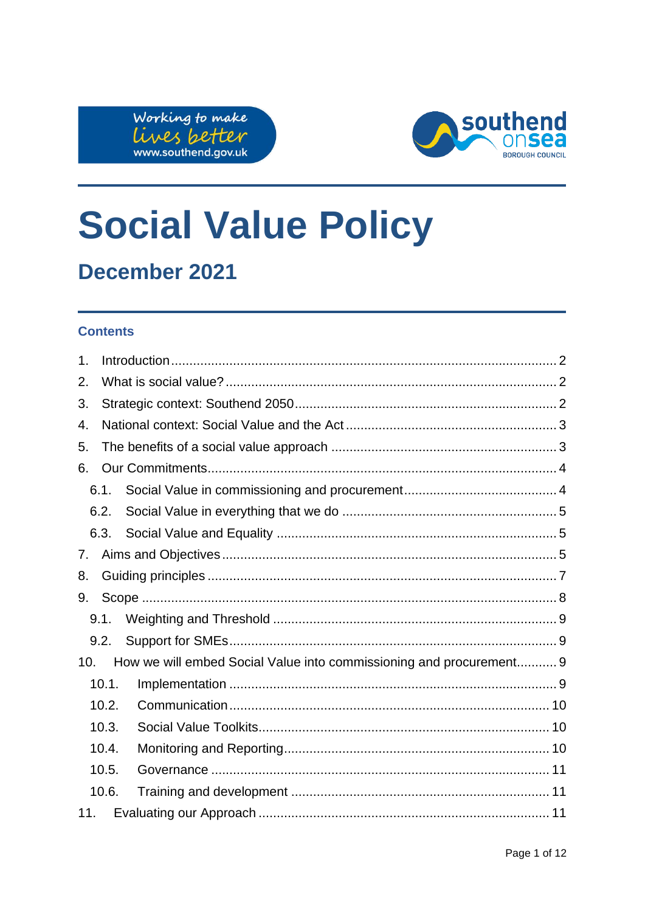



# **Social Value Policy**

# December 2021

### **Contents**

| 1.    |       |                                                                     |  |  |  |
|-------|-------|---------------------------------------------------------------------|--|--|--|
| 2.    |       |                                                                     |  |  |  |
| 3.    |       |                                                                     |  |  |  |
| 4.    |       |                                                                     |  |  |  |
| 5.    |       |                                                                     |  |  |  |
| 6.    |       |                                                                     |  |  |  |
|       | 6.1.  |                                                                     |  |  |  |
|       | 6.2.  |                                                                     |  |  |  |
|       | 6.3.  |                                                                     |  |  |  |
| 7.    |       |                                                                     |  |  |  |
| 8.    |       |                                                                     |  |  |  |
| 9.    |       |                                                                     |  |  |  |
|       | 9.1.  |                                                                     |  |  |  |
|       | 9.2.  |                                                                     |  |  |  |
| 10.   |       | How we will embed Social Value into commissioning and procurement 9 |  |  |  |
|       | 10.1. |                                                                     |  |  |  |
|       | 10.2. |                                                                     |  |  |  |
|       | 10.3. |                                                                     |  |  |  |
|       | 10.4. |                                                                     |  |  |  |
| 10.5. |       |                                                                     |  |  |  |
|       | 10.6. |                                                                     |  |  |  |
| 11.   |       |                                                                     |  |  |  |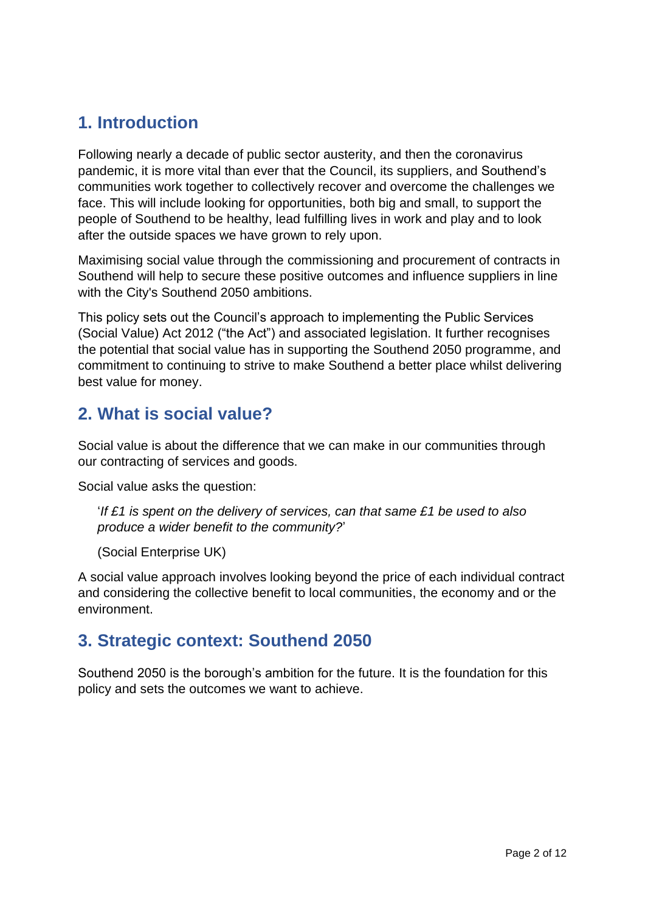# <span id="page-1-0"></span>**1. Introduction**

Following nearly a decade of public sector austerity, and then the coronavirus pandemic, it is more vital than ever that the Council, its suppliers, and Southend's communities work together to collectively recover and overcome the challenges we face. This will include looking for opportunities, both big and small, to support the people of Southend to be healthy, lead fulfilling lives in work and play and to look after the outside spaces we have grown to rely upon.

Maximising social value through the commissioning and procurement of contracts in Southend will help to secure these positive outcomes and influence suppliers in line with the City's Southend 2050 ambitions.

This policy sets out the Council's approach to implementing the Public Services (Social Value) Act 2012 ("the Act") and associated legislation. It further recognises the potential that social value has in supporting the Southend 2050 programme, and commitment to continuing to strive to make Southend a better place whilst delivering best value for money.

# <span id="page-1-1"></span>**2. What is social value?**

Social value is about the difference that we can make in our communities through our contracting of services and goods.

Social value asks the question:

'*If £1 is spent on the delivery of services, can that same £1 be used to also produce a wider benefit to the community?*'

(Social Enterprise UK)

A social value approach involves looking beyond the price of each individual contract and considering the collective benefit to local communities, the economy and or the environment.

# <span id="page-1-2"></span>**3. Strategic context: Southend 2050**

Southend 2050 is the borough's ambition for the future. It is the foundation for this policy and sets the outcomes we want to achieve.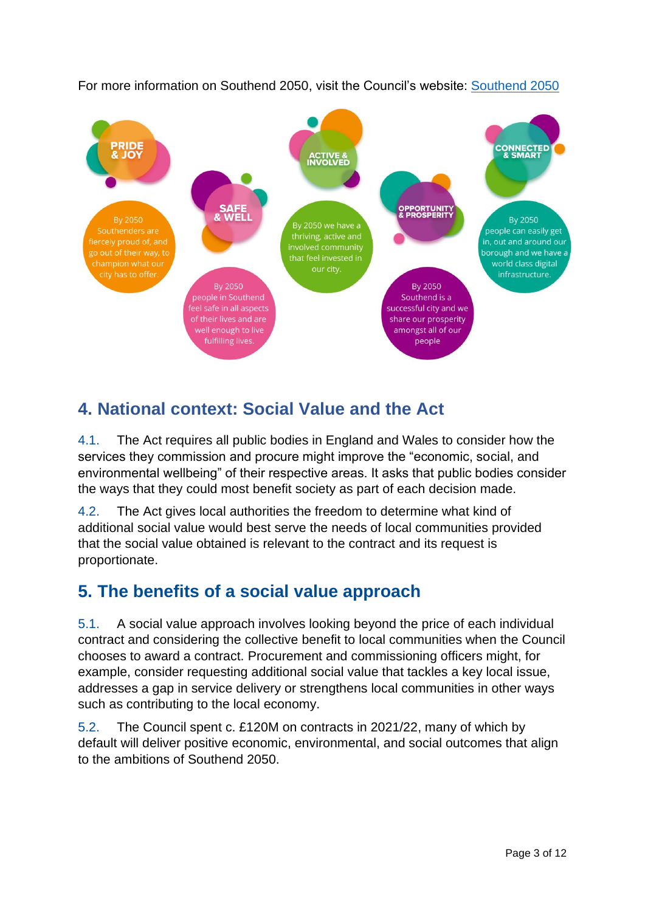For more information on Southend 2050, visit the Council's website: [Southend 2050](https://www.southend.gov.uk/southend2050)



# <span id="page-2-0"></span>**4. National context: Social Value and the Act**

4.1. The Act requires all public bodies in England and Wales to consider how the services they commission and procure might improve the "economic, social, and environmental wellbeing" of their respective areas. It asks that public bodies consider the ways that they could most benefit society as part of each decision made.

4.2. The Act gives local authorities the freedom to determine what kind of additional social value would best serve the needs of local communities provided that the social value obtained is relevant to the contract and its request is proportionate.

# <span id="page-2-1"></span>**5. The benefits of a social value approach**

5.1. A social value approach involves looking beyond the price of each individual contract and considering the collective benefit to local communities when the Council chooses to award a contract. Procurement and commissioning officers might, for example, consider requesting additional social value that tackles a key local issue, addresses a gap in service delivery or strengthens local communities in other ways such as contributing to the local economy.

5.2. The Council spent c. £120M on contracts in 2021/22, many of which by default will deliver positive economic, environmental, and social outcomes that align to the ambitions of Southend 2050.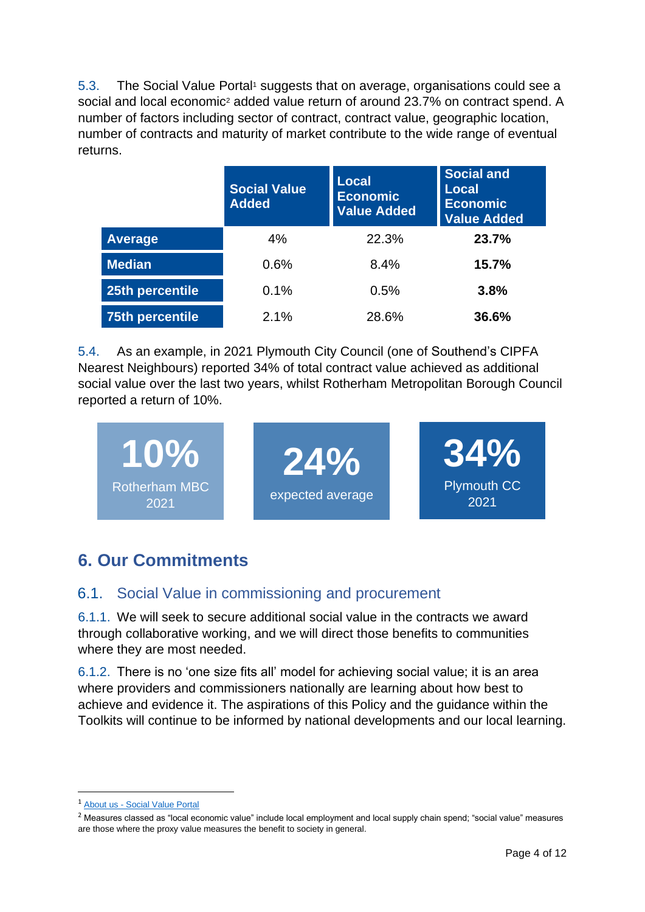5.3. The Social Value Portal<sup>1</sup> suggests that on average, organisations could see a social and local economic<sup>2</sup> added value return of around 23.7% on contract spend. A number of factors including sector of contract, contract value, geographic location, number of contracts and maturity of market contribute to the wide range of eventual returns.

|                        | <b>Social Value</b><br><b>Added</b> | <b>Local</b><br><b>Economic</b><br><b>Value Added</b> | <b>Social and</b><br><b>Local</b><br><b>Economic</b><br><b>Value Added</b> |
|------------------------|-------------------------------------|-------------------------------------------------------|----------------------------------------------------------------------------|
| <b>Average</b>         | 4%                                  | 22.3%                                                 | 23.7%                                                                      |
| <b>Median</b>          | 0.6%                                | 8.4%                                                  | 15.7%                                                                      |
| 25th percentile        | 0.1%                                | 0.5%                                                  | 3.8%                                                                       |
| <b>75th percentile</b> | 2.1%                                | 28.6%                                                 | 36.6%                                                                      |

5.4. As an example, in 2021 Plymouth City Council (one of Southend's CIPFA Nearest Neighbours) reported 34% of total contract value achieved as additional social value over the last two years, whilst Rotherham Metropolitan Borough Council reported a return of 10%.



# <span id="page-3-0"></span>**6. Our Commitments**

## <span id="page-3-1"></span>6.1. Social Value in commissioning and procurement

6.1.1. We will seek to secure additional social value in the contracts we award through collaborative working, and we will direct those benefits to communities where they are most needed.

6.1.2. There is no 'one size fits all' model for achieving social value; it is an area where providers and commissioners nationally are learning about how best to achieve and evidence it. The aspirations of this Policy and the guidance within the Toolkits will continue to be informed by national developments and our local learning.

<sup>1</sup> About us - [Social Value Portal](https://socialvalueportal.com/about/)

<sup>&</sup>lt;sup>2</sup> Measures classed as "local economic value" include local employment and local supply chain spend; "social value" measures are those where the proxy value measures the benefit to society in general.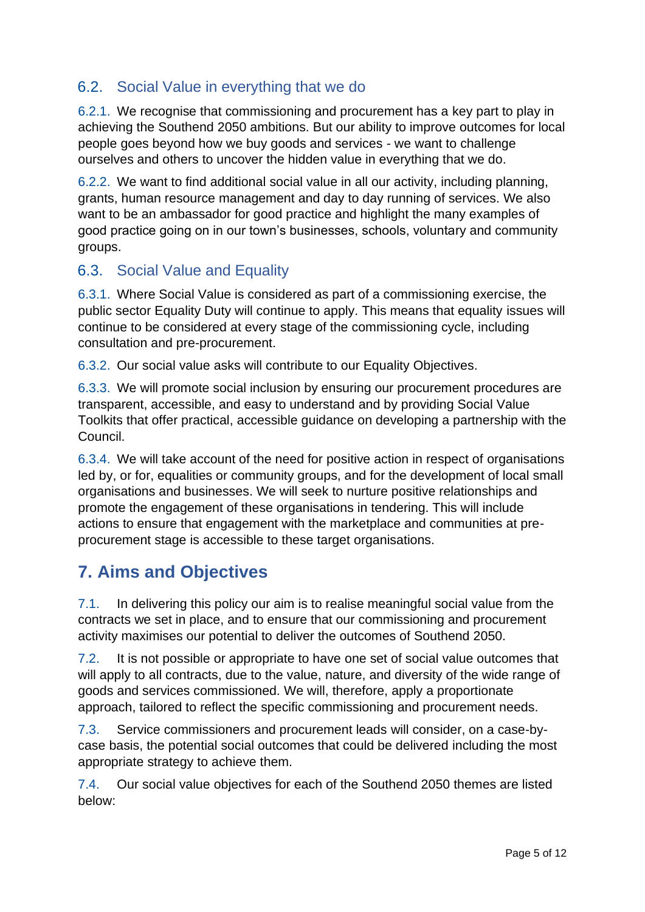## <span id="page-4-0"></span>6.2. Social Value in everything that we do

6.2.1. We recognise that commissioning and procurement has a key part to play in achieving the Southend 2050 ambitions. But our ability to improve outcomes for local people goes beyond how we buy goods and services - we want to challenge ourselves and others to uncover the hidden value in everything that we do.

6.2.2. We want to find additional social value in all our activity, including planning, grants, human resource management and day to day running of services. We also want to be an ambassador for good practice and highlight the many examples of good practice going on in our town's businesses, schools, voluntary and community groups.

## <span id="page-4-1"></span>6.3. Social Value and Equality

6.3.1. Where Social Value is considered as part of a commissioning exercise, the public sector Equality Duty will continue to apply. This means that equality issues will continue to be considered at every stage of the commissioning cycle, including consultation and pre-procurement.

6.3.2. Our social value asks will contribute to our Equality Objectives.

6.3.3. We will promote social inclusion by ensuring our procurement procedures are transparent, accessible, and easy to understand and by providing Social Value Toolkits that offer practical, accessible guidance on developing a partnership with the Council.

6.3.4. We will take account of the need for positive action in respect of organisations led by, or for, equalities or community groups, and for the development of local small organisations and businesses. We will seek to nurture positive relationships and promote the engagement of these organisations in tendering. This will include actions to ensure that engagement with the marketplace and communities at preprocurement stage is accessible to these target organisations.

# <span id="page-4-2"></span>**7. Aims and Objectives**

7.1. In delivering this policy our aim is to realise meaningful social value from the contracts we set in place, and to ensure that our commissioning and procurement activity maximises our potential to deliver the outcomes of Southend 2050.

7.2. It is not possible or appropriate to have one set of social value outcomes that will apply to all contracts, due to the value, nature, and diversity of the wide range of goods and services commissioned. We will, therefore, apply a proportionate approach, tailored to reflect the specific commissioning and procurement needs.

7.3. Service commissioners and procurement leads will consider, on a case-bycase basis, the potential social outcomes that could be delivered including the most appropriate strategy to achieve them.

7.4. Our social value objectives for each of the Southend 2050 themes are listed below: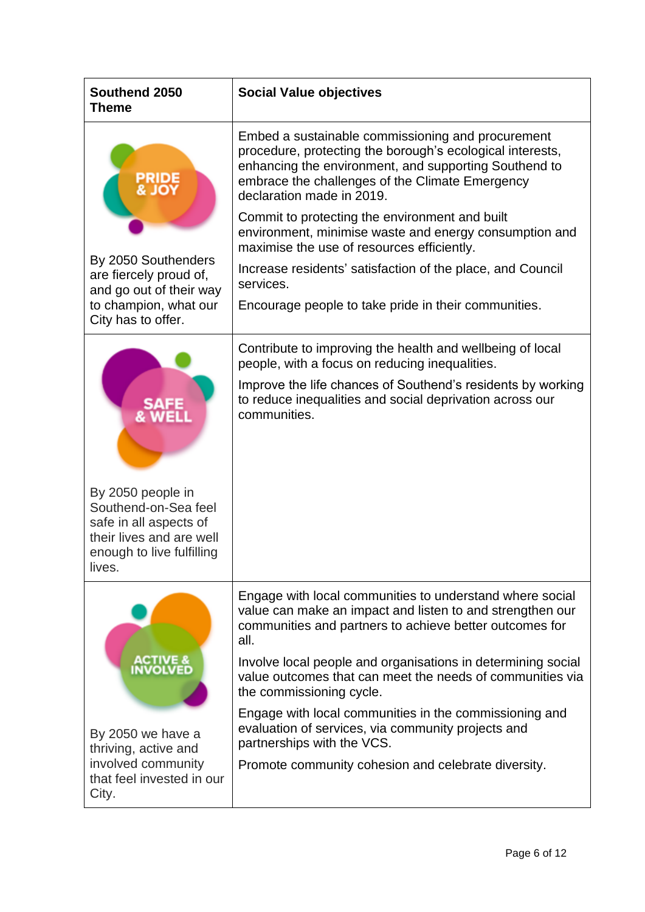| Southend 2050<br><b>Theme</b>                                                                                                          | <b>Social Value objectives</b>                                                                                                                                                                                                                                                                            |
|----------------------------------------------------------------------------------------------------------------------------------------|-----------------------------------------------------------------------------------------------------------------------------------------------------------------------------------------------------------------------------------------------------------------------------------------------------------|
|                                                                                                                                        | Embed a sustainable commissioning and procurement<br>procedure, protecting the borough's ecological interests,<br>enhancing the environment, and supporting Southend to<br>embrace the challenges of the Climate Emergency<br>declaration made in 2019.<br>Commit to protecting the environment and built |
| By 2050 Southenders                                                                                                                    | environment, minimise waste and energy consumption and<br>maximise the use of resources efficiently.                                                                                                                                                                                                      |
| are fiercely proud of,<br>and go out of their way                                                                                      | Increase residents' satisfaction of the place, and Council<br>services.                                                                                                                                                                                                                                   |
| to champion, what our<br>City has to offer.                                                                                            | Encourage people to take pride in their communities.                                                                                                                                                                                                                                                      |
|                                                                                                                                        | Contribute to improving the health and wellbeing of local<br>people, with a focus on reducing inequalities.                                                                                                                                                                                               |
|                                                                                                                                        | Improve the life chances of Southend's residents by working<br>to reduce inequalities and social deprivation across our<br>communities.                                                                                                                                                                   |
| By 2050 people in<br>Southend-on-Sea feel<br>safe in all aspects of<br>their lives and are well<br>enough to live fulfilling<br>lives. |                                                                                                                                                                                                                                                                                                           |
|                                                                                                                                        | Engage with local communities to understand where social<br>value can make an impact and listen to and strengthen our<br>communities and partners to achieve better outcomes for<br>all.                                                                                                                  |
| <b>ACTIVE &amp;<br/>INVOLVED</b>                                                                                                       | Involve local people and organisations in determining social<br>value outcomes that can meet the needs of communities via<br>the commissioning cycle.                                                                                                                                                     |
| By 2050 we have a<br>thriving, active and                                                                                              | Engage with local communities in the commissioning and<br>evaluation of services, via community projects and<br>partnerships with the VCS.                                                                                                                                                                |
| involved community<br>that feel invested in our<br>City.                                                                               | Promote community cohesion and celebrate diversity.                                                                                                                                                                                                                                                       |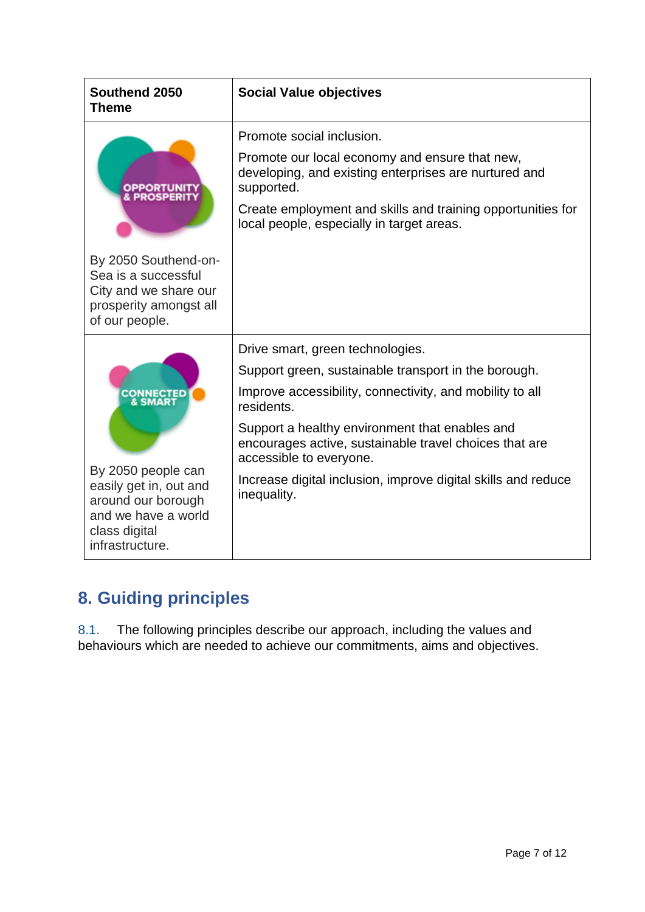| Southend 2050<br><b>Theme</b>                                                                                                                     | <b>Social Value objectives</b>                                                                                                                                                                                                                                                                                                                                                            |
|---------------------------------------------------------------------------------------------------------------------------------------------------|-------------------------------------------------------------------------------------------------------------------------------------------------------------------------------------------------------------------------------------------------------------------------------------------------------------------------------------------------------------------------------------------|
|                                                                                                                                                   | Promote social inclusion.<br>Promote our local economy and ensure that new,<br>developing, and existing enterprises are nurtured and<br>supported.<br>Create employment and skills and training opportunities for<br>local people, especially in target areas.                                                                                                                            |
| By 2050 Southend-on-<br>Sea is a successful<br>City and we share our<br>prosperity amongst all<br>of our people.                                  |                                                                                                                                                                                                                                                                                                                                                                                           |
| <b>CONNECTED</b><br>By 2050 people can<br>easily get in, out and<br>around our borough<br>and we have a world<br>class digital<br>infrastructure. | Drive smart, green technologies.<br>Support green, sustainable transport in the borough.<br>Improve accessibility, connectivity, and mobility to all<br>residents.<br>Support a healthy environment that enables and<br>encourages active, sustainable travel choices that are<br>accessible to everyone.<br>Increase digital inclusion, improve digital skills and reduce<br>inequality. |

# <span id="page-6-0"></span>**8. Guiding principles**

8.1. The following principles describe our approach, including the values and behaviours which are needed to achieve our commitments, aims and objectives.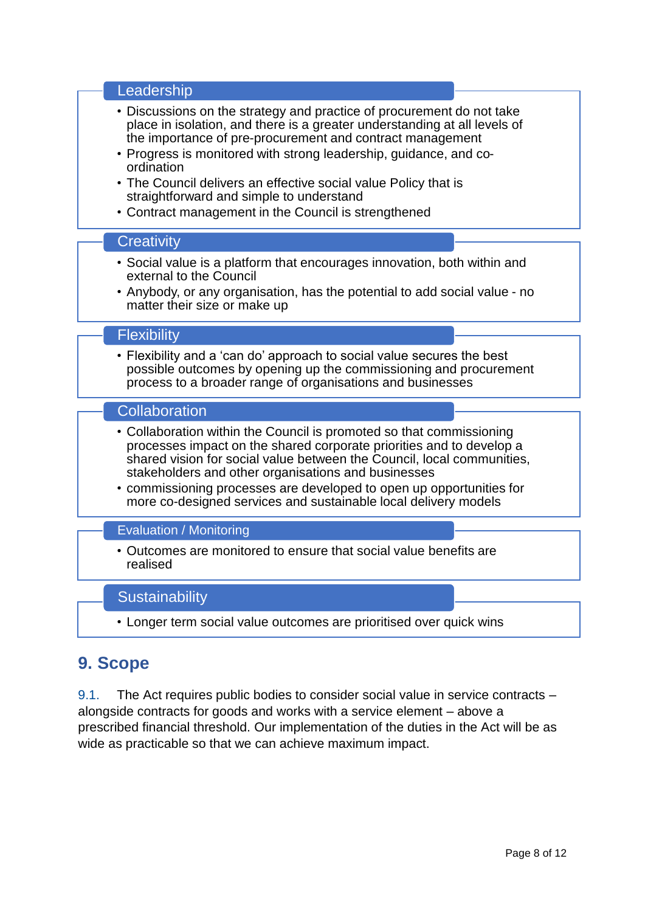| Leadership                                                                                                                                                                                                                                                                                                                                                                                                                                                                |
|---------------------------------------------------------------------------------------------------------------------------------------------------------------------------------------------------------------------------------------------------------------------------------------------------------------------------------------------------------------------------------------------------------------------------------------------------------------------------|
| • Discussions on the strategy and practice of procurement do not take<br>place in isolation, and there is a greater understanding at all levels of<br>the importance of pre-procurement and contract management<br>• Progress is monitored with strong leadership, guidance, and co-<br>ordination<br>• The Council delivers an effective social value Policy that is<br>straightforward and simple to understand<br>• Contract management in the Council is strengthened |
| Creativity                                                                                                                                                                                                                                                                                                                                                                                                                                                                |
| • Social value is a platform that encourages innovation, both within and<br>external to the Council<br>• Anybody, or any organisation, has the potential to add social value - no<br>matter their size or make up                                                                                                                                                                                                                                                         |
|                                                                                                                                                                                                                                                                                                                                                                                                                                                                           |
| <b>Flexibility</b>                                                                                                                                                                                                                                                                                                                                                                                                                                                        |
| • Flexibility and a 'can do' approach to social value secures the best<br>possible outcomes by opening up the commissioning and procurement<br>process to a broader range of organisations and businesses                                                                                                                                                                                                                                                                 |
| Collaboration                                                                                                                                                                                                                                                                                                                                                                                                                                                             |
| • Collaboration within the Council is promoted so that commissioning<br>processes impact on the shared corporate priorities and to develop a<br>shared vision for social value between the Council, local communities,<br>stakeholders and other organisations and businesses<br>• commissioning processes are developed to open up opportunities for<br>more co-designed services and sustainable local delivery models                                                  |
| <b>Evaluation / Monitoring</b>                                                                                                                                                                                                                                                                                                                                                                                                                                            |
| • Outcomes are monitored to ensure that social value benefits are                                                                                                                                                                                                                                                                                                                                                                                                         |
| realised                                                                                                                                                                                                                                                                                                                                                                                                                                                                  |

• Longer term social value outcomes are prioritised over quick wins

# <span id="page-7-0"></span>**9. Scope**

9.1. The Act requires public bodies to consider social value in service contracts – alongside contracts for goods and works with a service element – above a prescribed financial threshold. Our implementation of the duties in the Act will be as wide as practicable so that we can achieve maximum impact.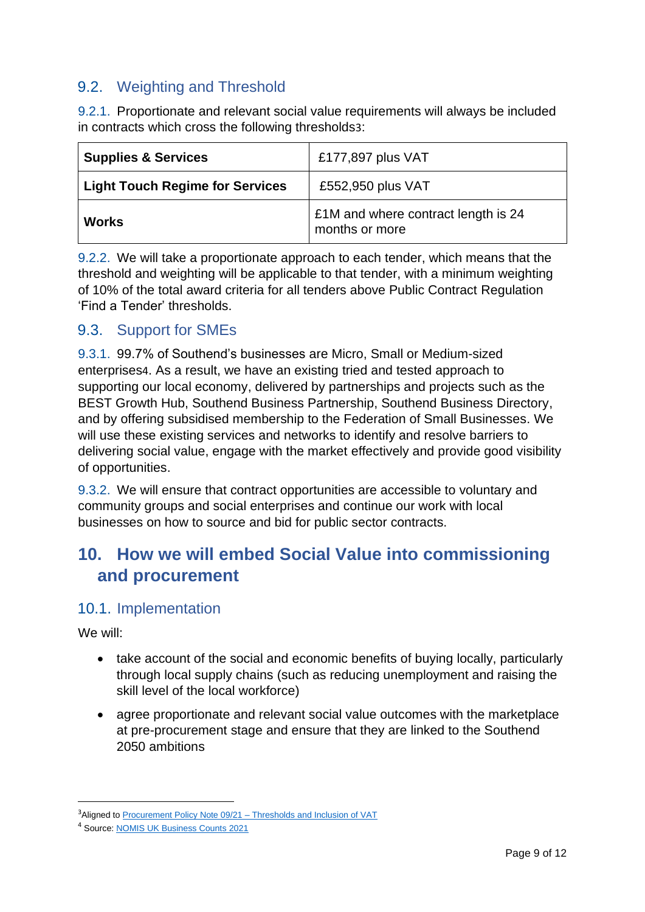## <span id="page-8-0"></span>9.2. Weighting and Threshold

9.2.1. Proportionate and relevant social value requirements will always be included in contracts which cross the following thresholds3:

| <b>Supplies &amp; Services</b>         | £177,897 plus VAT                                            |
|----------------------------------------|--------------------------------------------------------------|
| <b>Light Touch Regime for Services</b> | £552,950 plus VAT                                            |
| <b>Works</b>                           | <b>E1M</b> and where contract length is 24<br>months or more |

9.2.2. We will take a proportionate approach to each tender, which means that the threshold and weighting will be applicable to that tender, with a minimum weighting of 10% of the total award criteria for all tenders above Public Contract Regulation 'Find a Tender' thresholds.

## <span id="page-8-1"></span>9.3. Support for SMEs

9.3.1. 99.7% of Southend's businesses are Micro, Small or Medium-sized enterprises4. As a result, we have an existing tried and tested approach to supporting our local economy, delivered by partnerships and projects such as the BEST Growth Hub, Southend Business Partnership, Southend Business Directory, and by offering subsidised membership to the Federation of Small Businesses. We will use these existing services and networks to identify and resolve barriers to delivering social value, engage with the market effectively and provide good visibility of opportunities.

9.3.2. We will ensure that contract opportunities are accessible to voluntary and community groups and social enterprises and continue our work with local businesses on how to source and bid for public sector contracts.

## <span id="page-8-2"></span>**10. How we will embed Social Value into commissioning and procurement**

#### <span id="page-8-3"></span>10.1. Implementation

We will:

- take account of the social and economic benefits of buying locally, particularly through local supply chains (such as reducing unemployment and raising the skill level of the local workforce)
- agree proportionate and relevant social value outcomes with the marketplace at pre-procurement stage and ensure that they are linked to the Southend 2050 ambitions

<sup>&</sup>lt;sup>3</sup>Aligned to [Procurement Policy Note 09/21 –](https://www.gov.uk/government/publications/procurement-policy-note-0921-thresholds-and-inclusion-of-vat) Thresholds and Inclusion of VAT

<sup>4</sup> Source[: NOMIS UK Business Counts 2021](https://www.nomisweb.co.uk/reports/lmp/la/1946157203/report.aspx#tabidbr)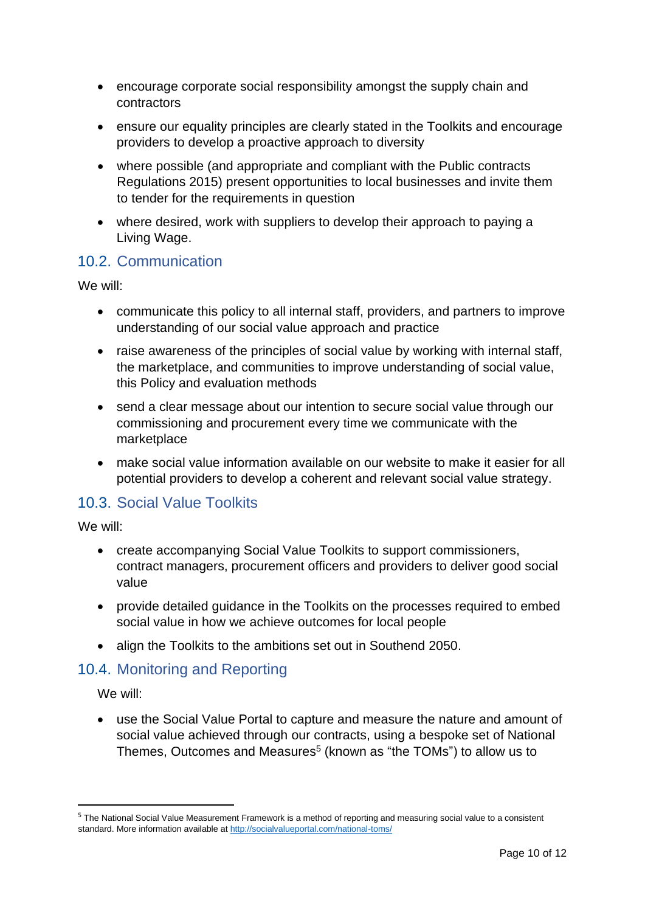- encourage corporate social responsibility amongst the supply chain and contractors
- ensure our equality principles are clearly stated in the Toolkits and encourage providers to develop a proactive approach to diversity
- where possible (and appropriate and compliant with the Public contracts Regulations 2015) present opportunities to local businesses and invite them to tender for the requirements in question
- where desired, work with suppliers to develop their approach to paying a Living Wage.

## <span id="page-9-0"></span>10.2. Communication

We will:

- communicate this policy to all internal staff, providers, and partners to improve understanding of our social value approach and practice
- raise awareness of the principles of social value by working with internal staff, the marketplace, and communities to improve understanding of social value, this Policy and evaluation methods
- send a clear message about our intention to secure social value through our commissioning and procurement every time we communicate with the marketplace
- make social value information available on our website to make it easier for all potential providers to develop a coherent and relevant social value strategy.

#### <span id="page-9-1"></span>10.3. Social Value Toolkits

We will:

- create accompanying Social Value Toolkits to support commissioners, contract managers, procurement officers and providers to deliver good social value
- provide detailed guidance in the Toolkits on the processes required to embed social value in how we achieve outcomes for local people
- align the Toolkits to the ambitions set out in Southend 2050.

## <span id="page-9-2"></span>10.4. Monitoring and Reporting

We will:

• use the Social Value Portal to capture and measure the nature and amount of social value achieved through our contracts, using a bespoke set of National Themes, Outcomes and Measures<sup>5</sup> (known as "the TOMs") to allow us to

<sup>&</sup>lt;sup>5</sup> The National Social Value Measurement Framework is a method of reporting and measuring social value to a consistent standard. More information available a[t http://socialvalueportal.com/national-toms/](http://socialvalueportal.com/national-toms/)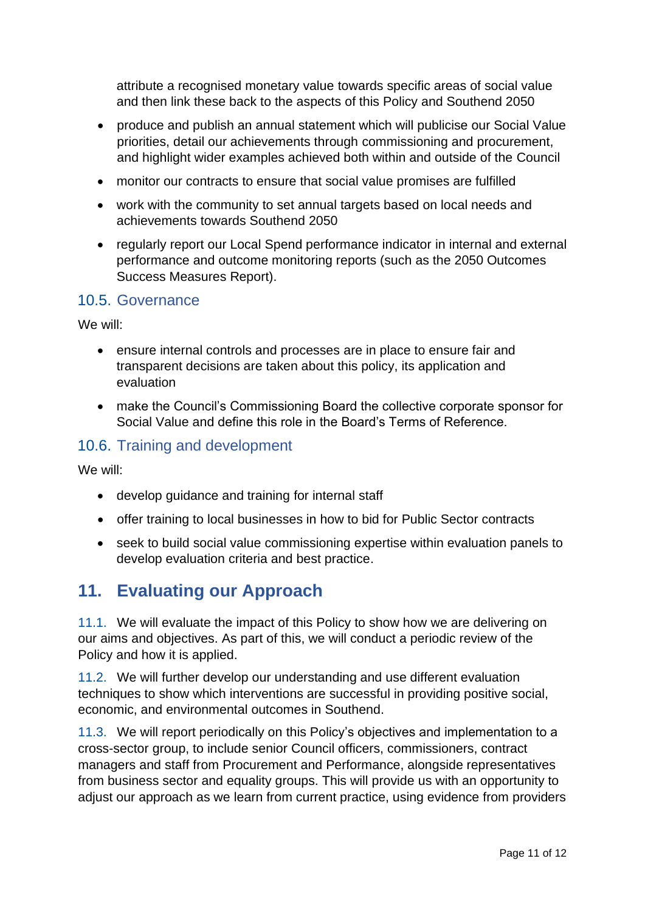attribute a recognised monetary value towards specific areas of social value and then link these back to the aspects of this Policy and Southend 2050

- produce and publish an annual statement which will publicise our Social Value priorities, detail our achievements through commissioning and procurement, and highlight wider examples achieved both within and outside of the Council
- monitor our contracts to ensure that social value promises are fulfilled
- work with the community to set annual targets based on local needs and achievements towards Southend 2050
- regularly report our Local Spend performance indicator in internal and external performance and outcome monitoring reports (such as the 2050 Outcomes Success Measures Report).

#### <span id="page-10-0"></span>10.5. Governance

We will:

- ensure internal controls and processes are in place to ensure fair and transparent decisions are taken about this policy, its application and evaluation
- make the Council's Commissioning Board the collective corporate sponsor for Social Value and define this role in the Board's Terms of Reference.

## <span id="page-10-1"></span>10.6. Training and development

We will:

- develop guidance and training for internal staff
- offer training to local businesses in how to bid for Public Sector contracts
- seek to build social value commissioning expertise within evaluation panels to develop evaluation criteria and best practice.

## <span id="page-10-2"></span>**11. Evaluating our Approach**

11.1. We will evaluate the impact of this Policy to show how we are delivering on our aims and objectives. As part of this, we will conduct a periodic review of the Policy and how it is applied.

11.2. We will further develop our understanding and use different evaluation techniques to show which interventions are successful in providing positive social, economic, and environmental outcomes in Southend.

11.3. We will report periodically on this Policy's objectives and implementation to a cross-sector group, to include senior Council officers, commissioners, contract managers and staff from Procurement and Performance, alongside representatives from business sector and equality groups. This will provide us with an opportunity to adjust our approach as we learn from current practice, using evidence from providers